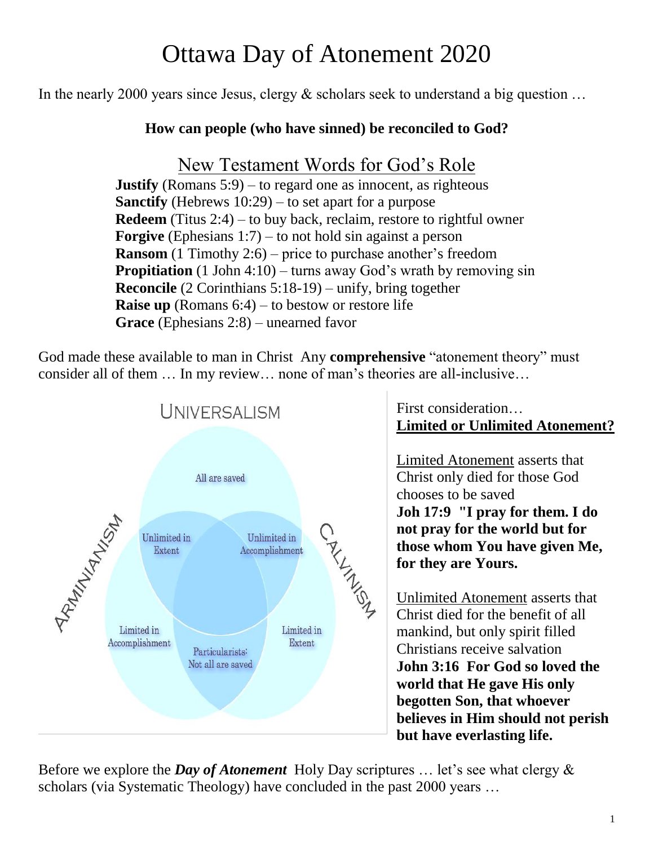# Ottawa Day of Atonement 2020

In the nearly 2000 years since Jesus, clergy & scholars seek to understand a big question …

### **How can people (who have sinned) be reconciled to God?**

### New Testament Words for God's Role

**Justify** (Romans 5:9) – to regard one as innocent, as righteous **Sanctify** (Hebrews 10:29) – to set apart for a purpose **Redeem** (Titus 2:4) – to buy back, reclaim, restore to rightful owner **Forgive** (Ephesians 1:7) – to not hold sin against a person **Ransom** (1 Timothy 2:6) – price to purchase another's freedom **Propitiation** (1 John 4:10) – turns away God's wrath by removing sin **Reconcile** (2 Corinthians 5:18-19) – unify, bring together **Raise up** (Romans 6:4) – to bestow or restore life **Grace** (Ephesians 2:8) – unearned favor

God made these available to man in Christ Any **comprehensive** "atonement theory" must consider all of them … In my review… none of man's theories are all-inclusive…



First consideration… **Limited or Unlimited Atonement?**

Limited Atonement asserts that Christ only died for those God chooses to be saved **Joh 17:9 "I pray for them. I do not pray for the world but for those whom You have given Me, for they are Yours.**

Unlimited Atonement asserts that Christ died for the benefit of all mankind, but only spirit filled Christians receive salvation **John 3:16 For God so loved the world that He gave His only begotten Son, that whoever believes in Him should not perish but have everlasting life.**

Before we explore the *Day of Atonement* Holy Day scriptures … let's see what clergy & scholars (via Systematic Theology) have concluded in the past 2000 years …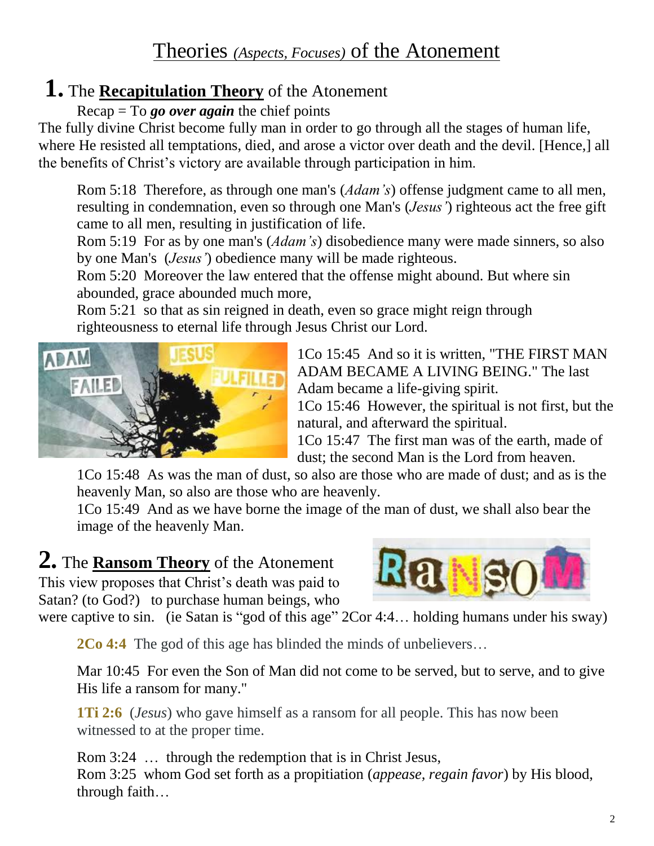## Theories *(Aspects, Focuses)* of the Atonement

## **1.** The **Recapitulation Theory** of the Atonement

Recap = To *go over again* the chief points

The fully divine Christ become fully man in order to go through all the stages of human life, where He resisted all temptations, died, and arose a victor over death and the devil. [Hence,] all the benefits of Christ's victory are available through participation in him.

Rom 5:18 Therefore, as through one man's (*Adam's*) offense judgment came to all men, resulting in condemnation, even so through one Man's (*Jesus'*) righteous act the free gift came to all men, resulting in justification of life.

Rom 5:19 For as by one man's (*Adam's*) disobedience many were made sinners, so also by one Man's (*Jesus'*) obedience many will be made righteous.

Rom 5:20 Moreover the law entered that the offense might abound. But where sin abounded, grace abounded much more,

Rom 5:21 so that as sin reigned in death, even so grace might reign through righteousness to eternal life through Jesus Christ our Lord.



1Co 15:45 And so it is written, "THE FIRST MAN ADAM BECAME A LIVING BEING." The last Adam became a life-giving spirit.

1Co 15:46 However, the spiritual is not first, but the natural, and afterward the spiritual.

1Co 15:47 The first man was of the earth, made of dust; the second Man is the Lord from heaven.

1Co 15:48 As was the man of dust, so also are those who are made of dust; and as is the heavenly Man, so also are those who are heavenly.

1Co 15:49 And as we have borne the image of the man of dust, we shall also bear the image of the heavenly Man.

## **2.** The **Ransom Theory** of the Atonement

This view proposes that Christ's death was paid to Satan? (to God?) to purchase human beings, who



were captive to sin. (ie Satan is "god of this age"  $2Cor 4:4...$  holding humans under his sway)

**2Co 4:4** The god of this age has blinded the minds of unbelievers…

Mar 10:45 For even the Son of Man did not come to be served, but to serve, and to give His life a ransom for many."

**1Ti 2:6** (*Jesus*) who gave himself as a ransom for all people. This has now been witnessed to at the proper time.

Rom 3:24 … through the redemption that is in Christ Jesus, Rom 3:25 whom God set forth as a propitiation (*appease, regain favor*) by His blood, through faith…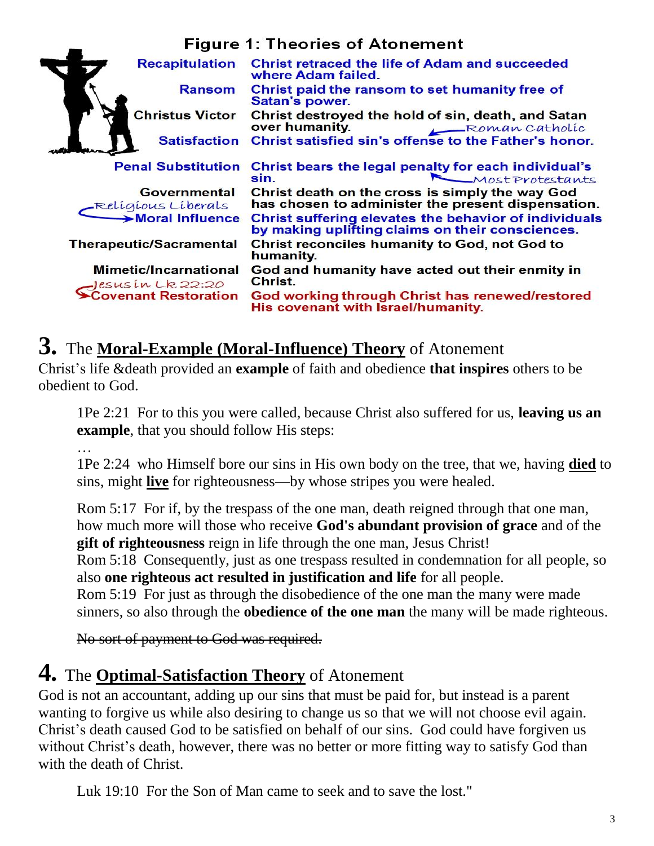### **Figure 1: Theories of Atonement**

| <b>Recapitulation</b>                             | <b>Christ retraced the life of Adam and succeeded</b><br>where Adam failed.                               |
|---------------------------------------------------|-----------------------------------------------------------------------------------------------------------|
| <b>Ransom</b>                                     | Christ paid the ransom to set humanity free of<br>Satan's power.                                          |
| <b>Christus Victor</b>                            | Christ destroyed the hold of sin, death, and Satan<br>over humanity.<br>Roman Catholic                    |
| <b>Satisfaction</b>                               | Christ satisfied sin's offense to the Father's honor.                                                     |
| <b>Penal Substitution</b>                         | Christ bears the legal penalty for each individual's<br>Most Protestants<br>sin.                          |
| <b>Governmental</b><br>Religious Liberals         | Christ death on the cross is simply the way God<br>has chosen to administer the present dispensation.     |
| Moral Influence                                   | Christ suffering elevates the behavior of individuals<br>by making uplifting claims on their consciences. |
| <b>Therapeutic/Sacramental</b>                    | <b>Christ reconciles humanity to God, not God to</b><br>humanity.                                         |
| <b>Mimetic/Incarnational</b><br>Jesus in Lk 22:20 | God and humanity have acted out their enmity in<br>Christ.                                                |
| <b>Covenant Restoration</b>                       | God working through Christ has renewed/restored<br>His covenant with Israel/humanity.                     |

## **3.** The **Moral-Example (Moral-Influence) Theory** of Atonement

Christ's life &death provided an **example** of faith and obedience **that inspires** others to be obedient to God.

1Pe 2:21 For to this you were called, because Christ also suffered for us, **leaving us an example**, that you should follow His steps:

…

1Pe 2:24 who Himself bore our sins in His own body on the tree, that we, having **died** to sins, might **live** for righteousness—by whose stripes you were healed.

Rom 5:17 For if, by the trespass of the one man, death reigned through that one man, how much more will those who receive **God's abundant provision of grace** and of the **gift of righteousness** reign in life through the one man, Jesus Christ!

Rom 5:18 Consequently, just as one trespass resulted in condemnation for all people, so also **one righteous act resulted in justification and life** for all people.

Rom 5:19 For just as through the disobedience of the one man the many were made sinners, so also through the **obedience of the one man** the many will be made righteous.

No sort of payment to God was required.

## **4.** The **Optimal-Satisfaction Theory** of Atonement

God is not an accountant, adding up our sins that must be paid for, but instead is a parent wanting to forgive us while also desiring to change us so that we will not choose evil again. Christ's death caused God to be satisfied on behalf of our sins. God could have forgiven us without Christ's death, however, there was no better or more fitting way to satisfy God than with the death of Christ.

Luk 19:10 For the Son of Man came to seek and to save the lost."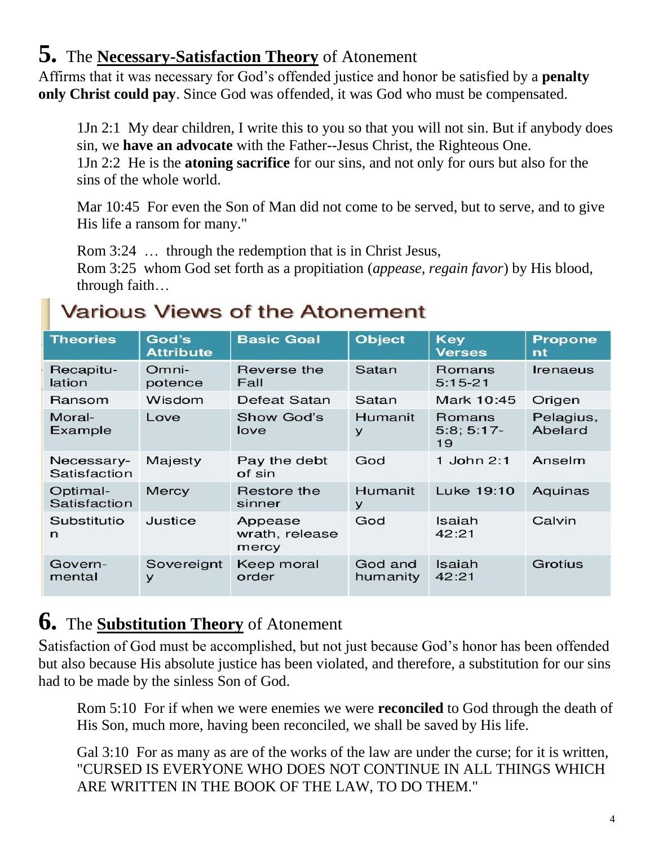## **5.** The **Necessary-Satisfaction Theory** of Atonement

Affirms that it was necessary for God's offended justice and honor be satisfied by a **penalty only Christ could pay**. Since God was offended, it was God who must be compensated.

1Jn 2:1 My dear children, I write this to you so that you will not sin. But if anybody does sin, we **have an advocate** with the Father--Jesus Christ, the Righteous One. 1Jn 2:2 He is the **atoning sacrifice** for our sins, and not only for ours but also for the sins of the whole world.

Mar 10:45 For even the Son of Man did not come to be served, but to serve, and to give His life a ransom for many."

Rom 3:24 ... through the redemption that is in Christ Jesus,

Rom 3:25 whom God set forth as a propitiation (*appease, regain favor*) by His blood, through faith…

## **Various Views of the Atonement**

| <b>Theories</b>            | God's<br><b>Attribute</b> | <b>Basic Goal</b>                  | <b>Object</b>       | <b>Key</b><br><b>Verses</b> | <b>Propone</b><br>nt |
|----------------------------|---------------------------|------------------------------------|---------------------|-----------------------------|----------------------|
| Recapitu-<br>lation        | Omni-<br>potence          | Reverse the<br>Fall                | Satan               | Romans<br>$5:15-21$         | Irenaeus             |
| Ransom                     | Wisdom                    | Defeat Satan                       | Satan               | Mark 10:45                  | Origen               |
| Moral-<br>Example          | Love                      | Show God's<br>love                 | <b>Humanit</b><br>y | Romans<br>$5:8;5:17-$<br>19 | Pelagius,<br>Abelard |
| Necessary-<br>Satisfaction | Majesty                   | Pay the debt<br>of sin             | God                 | 1 John $2:1$                | Anselm               |
| Optimal-<br>Satisfaction   | Mercy                     | Restore the<br>sinner              | Humanit<br>У        | Luke 19:10                  | Aquinas              |
| Substitutio<br>n           | Justice                   | Appease<br>wrath, release<br>mercy | God                 | Isaiah<br>42:21             | Calvin               |
| Govern-<br>mental          | Sovereignt<br>У           | Keep moral<br>order                | God and<br>humanity | Isaiah<br>42:21             | Grotius              |

## **6.** The **Substitution Theory** of Atonement

Satisfaction of God must be accomplished, but not just because God's honor has been offended but also because His absolute justice has been violated, and therefore, a substitution for our sins had to be made by the sinless Son of God.

Rom 5:10 For if when we were enemies we were **reconciled** to God through the death of His Son, much more, having been reconciled, we shall be saved by His life.

Gal 3:10 For as many as are of the works of the law are under the curse; for it is written, "CURSED IS EVERYONE WHO DOES NOT CONTINUE IN ALL THINGS WHICH ARE WRITTEN IN THE BOOK OF THE LAW, TO DO THEM."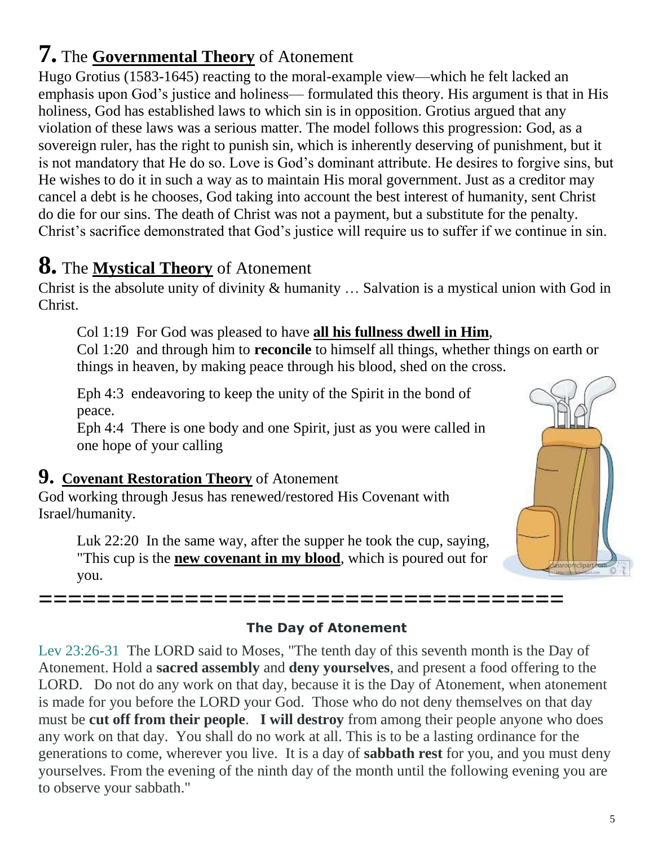#### 5

## **7.** The **Governmental Theory** of Atonement

Hugo Grotius (1583-1645) reacting to the moral-example view—which he felt lacked an emphasis upon God's justice and holiness— formulated this theory. His argument is that in His holiness, God has established laws to which sin is in opposition. Grotius argued that any violation of these laws was a serious matter. The model follows this progression: God, as a sovereign ruler, has the right to punish sin, which is inherently deserving of punishment, but it is not mandatory that He do so. Love is God's dominant attribute. He desires to forgive sins, but He wishes to do it in such a way as to maintain His moral government. Just as a creditor may cancel a debt is he chooses, God taking into account the best interest of humanity, sent Christ do die for our sins. The death of Christ was not a payment, but a substitute for the penalty. Christ's sacrifice demonstrated that God's justice will require us to suffer if we continue in sin.

## **8.** The **Mystical Theory** of Atonement

Christ is the absolute unity of divinity & humanity … Salvation is a mystical union with God in Christ.

Col 1:19 For God was pleased to have **all his fullness dwell in Him**,

Col 1:20 and through him to **reconcile** to himself all things, whether things on earth or things in heaven, by making peace through his blood, shed on the cross.

Eph 4:3 endeavoring to keep the unity of the Spirit in the bond of peace.

Eph 4:4 There is one body and one Spirit, just as you were called in one hope of your calling

### **9. Covenant Restoration Theory** of Atonement

God working through Jesus has renewed/restored His Covenant with Israel/humanity.

Luk 22:20 In the same way, after the supper he took the cup, saying, "This cup is the **new covenant in my blood**, which is poured out for you.

**====================================**

### **The Day of Atonement**

Lev 23:26-31 The LORD said to Moses, "The tenth day of this seventh month is the Day of Atonement. Hold a **sacred assembly** and **deny yourselves**, and present a food offering to the LORD. Do not do any work on that day, because it is the Day of Atonement, when atonement is made for you before the LORD your God. Those who do not deny themselves on that day must be **cut off from their people**. **I will destroy** from among their people anyone who does any work on that day. You shall do no work at all. This is to be a lasting ordinance for the generations to come, wherever you live. It is a day of **sabbath rest** for you, and you must deny yourselves. From the evening of the ninth day of the month until the following evening you are to observe your sabbath."

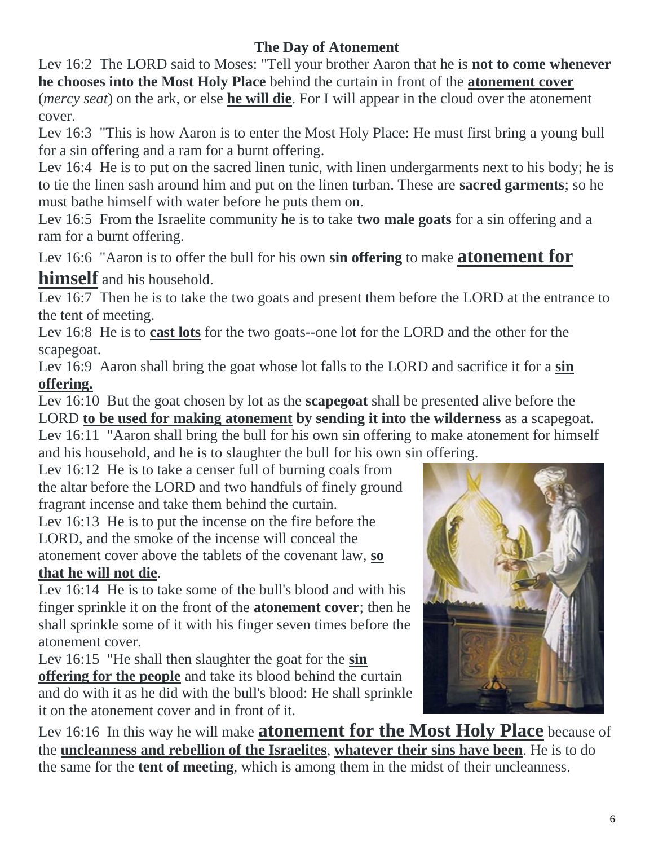### **The Day of Atonement**

Lev 16:2 The LORD said to Moses: "Tell your brother Aaron that he is **not to come whenever he chooses into the Most Holy Place** behind the curtain in front of the **atonement cover** (*mercy seat*) on the ark, or else **he will die**. For I will appear in the cloud over the atonement cover.

Lev 16:3 "This is how Aaron is to enter the Most Holy Place: He must first bring a young bull for a sin offering and a ram for a burnt offering.

Lev 16:4 He is to put on the sacred linen tunic, with linen undergarments next to his body; he is to tie the linen sash around him and put on the linen turban. These are **sacred garments**; so he must bathe himself with water before he puts them on.

Lev 16:5 From the Israelite community he is to take **two male goats** for a sin offering and a ram for a burnt offering.

Lev 16:6 "Aaron is to offer the bull for his own **sin offering** to make **atonement for** 

### **himself** and his household.

Lev 16:7 Then he is to take the two goats and present them before the LORD at the entrance to the tent of meeting.

Lev 16:8 He is to **cast lots** for the two goats--one lot for the LORD and the other for the scapegoat.

Lev 16:9 Aaron shall bring the goat whose lot falls to the LORD and sacrifice it for a **sin offering.**

Lev 16:10 But the goat chosen by lot as the **scapegoat** shall be presented alive before the LORD **to be used for making atonement by sending it into the wilderness** as a scapegoat. Lev 16:11 "Aaron shall bring the bull for his own sin offering to make atonement for himself

and his household, and he is to slaughter the bull for his own sin offering.

Lev 16:12 He is to take a censer full of burning coals from the altar before the LORD and two handfuls of finely ground fragrant incense and take them behind the curtain.

Lev 16:13 He is to put the incense on the fire before the LORD, and the smoke of the incense will conceal the atonement cover above the tablets of the covenant law, **so that he will not die**.

Lev 16:14 He is to take some of the bull's blood and with his finger sprinkle it on the front of the **atonement cover**; then he shall sprinkle some of it with his finger seven times before the atonement cover.

Lev 16:15 "He shall then slaughter the goat for the **sin offering for the people** and take its blood behind the curtain and do with it as he did with the bull's blood: He shall sprinkle it on the atonement cover and in front of it.



Lev 16:16 In this way he will make **atonement for the Most Holy Place** because of the **uncleanness and rebellion of the Israelites**, **whatever their sins have been**. He is to do the same for the **tent of meeting**, which is among them in the midst of their uncleanness.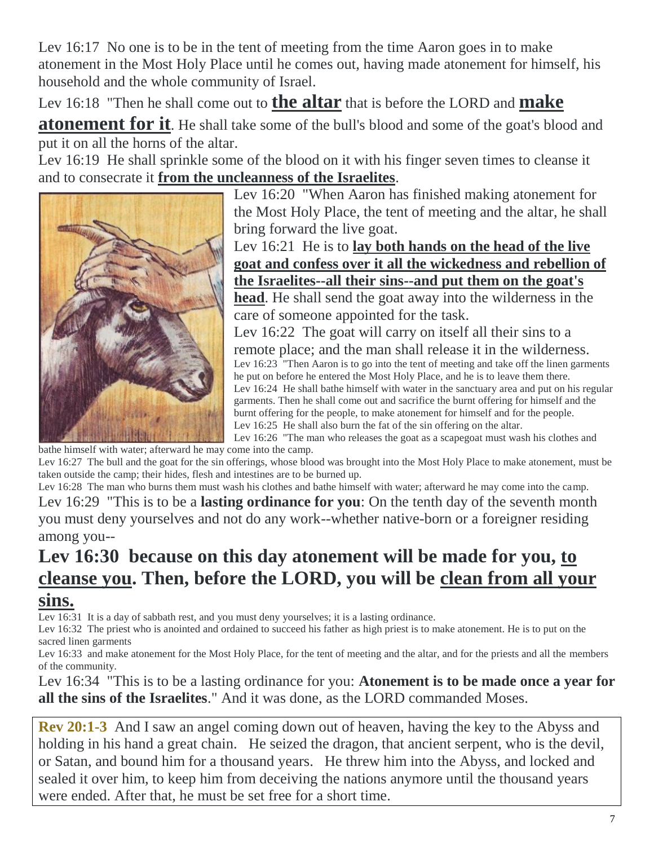Lev 16:17 No one is to be in the tent of meeting from the time Aaron goes in to make atonement in the Most Holy Place until he comes out, having made atonement for himself, his household and the whole community of Israel.

Lev 16:18 "Then he shall come out to **the altar** that is before the LORD and **make** 

**atonement for it**. He shall take some of the bull's blood and some of the goat's blood and put it on all the horns of the altar.

Lev 16:19 He shall sprinkle some of the blood on it with his finger seven times to cleanse it and to consecrate it **from the uncleanness of the Israelites**.



Lev 16:20 "When Aaron has finished making atonement for the Most Holy Place, the tent of meeting and the altar, he shall bring forward the live goat.

Lev 16:21 He is to **lay both hands on the head of the live goat and confess over it all the wickedness and rebellion of the Israelites--all their sins--and put them on the goat's head**. He shall send the goat away into the wilderness in the care of someone appointed for the task.

Lev 16:22 The goat will carry on itself all their sins to a remote place; and the man shall release it in the wilderness. Lev 16:23 "Then Aaron is to go into the tent of meeting and take off the linen garments he put on before he entered the Most Holy Place, and he is to leave them there. Lev 16:24 He shall bathe himself with water in the sanctuary area and put on his regular garments. Then he shall come out and sacrifice the burnt offering for himself and the burnt offering for the people, to make atonement for himself and for the people. Lev 16:25 He shall also burn the fat of the sin offering on the altar.

Lev 16:26 "The man who releases the goat as a scapegoat must wash his clothes and bathe himself with water; afterward he may come into the camp.

Lev 16:27 The bull and the goat for the sin offerings, whose blood was brought into the Most Holy Place to make atonement, must be taken outside the camp; their hides, flesh and intestines are to be burned up.

Lev 16:28 The man who burns them must wash his clothes and bathe himself with water; afterward he may come into the camp. Lev 16:29 "This is to be a **lasting ordinance for you**: On the tenth day of the seventh month you must deny yourselves and not do any work--whether native-born or a foreigner residing among you--

### **Lev 16:30 because on this day atonement will be made for you, to cleanse you. Then, before the LORD, you will be clean from all your sins.**

Lev 16:31 It is a day of sabbath rest, and you must deny yourselves; it is a lasting ordinance.

Lev 16:32 The priest who is anointed and ordained to succeed his father as high priest is to make atonement. He is to put on the sacred linen garments

Lev 16:33 and make atonement for the Most Holy Place, for the tent of meeting and the altar, and for the priests and all the members of the community.

Lev 16:34 "This is to be a lasting ordinance for you: **Atonement is to be made once a year for all the sins of the Israelites**." And it was done, as the LORD commanded Moses.

**Rev 20:1-3** And I saw an angel coming down out of heaven, having the key to the Abyss and holding in his hand a great chain. He seized the dragon, that ancient serpent, who is the devil, or Satan, and bound him for a thousand years. He threw him into the Abyss, and locked and sealed it over him, to keep him from deceiving the nations anymore until the thousand years were ended. After that, he must be set free for a short time.